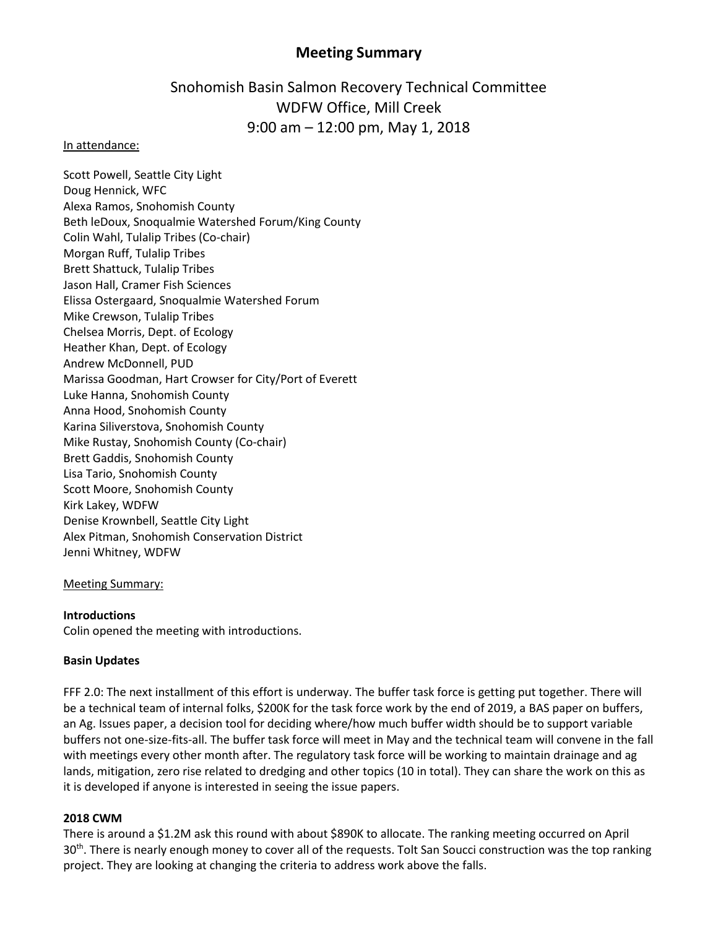# **Meeting Summary**

# Snohomish Basin Salmon Recovery Technical Committee WDFW Office, Mill Creek 9:00 am – 12:00 pm, May 1, 2018

### In attendance:

Scott Powell, Seattle City Light Doug Hennick, WFC Alexa Ramos, Snohomish County Beth leDoux, Snoqualmie Watershed Forum/King County Colin Wahl, Tulalip Tribes (Co-chair) Morgan Ruff, Tulalip Tribes Brett Shattuck, Tulalip Tribes Jason Hall, Cramer Fish Sciences Elissa Ostergaard, Snoqualmie Watershed Forum Mike Crewson, Tulalip Tribes Chelsea Morris, Dept. of Ecology Heather Khan, Dept. of Ecology Andrew McDonnell, PUD Marissa Goodman, Hart Crowser for City/Port of Everett Luke Hanna, Snohomish County Anna Hood, Snohomish County Karina Siliverstova, Snohomish County Mike Rustay, Snohomish County (Co-chair) Brett Gaddis, Snohomish County Lisa Tario, Snohomish County Scott Moore, Snohomish County Kirk Lakey, WDFW Denise Krownbell, Seattle City Light Alex Pitman, Snohomish Conservation District Jenni Whitney, WDFW

#### Meeting Summary:

# **Introductions**

Colin opened the meeting with introductions.

#### **Basin Updates**

FFF 2.0: The next installment of this effort is underway. The buffer task force is getting put together. There will be a technical team of internal folks, \$200K for the task force work by the end of 2019, a BAS paper on buffers, an Ag. Issues paper, a decision tool for deciding where/how much buffer width should be to support variable buffers not one-size-fits-all. The buffer task force will meet in May and the technical team will convene in the fall with meetings every other month after. The regulatory task force will be working to maintain drainage and ag lands, mitigation, zero rise related to dredging and other topics (10 in total). They can share the work on this as it is developed if anyone is interested in seeing the issue papers.

# **2018 CWM**

There is around a \$1.2M ask this round with about \$890K to allocate. The ranking meeting occurred on April 30<sup>th</sup>. There is nearly enough money to cover all of the requests. Tolt San Soucci construction was the top ranking project. They are looking at changing the criteria to address work above the falls.